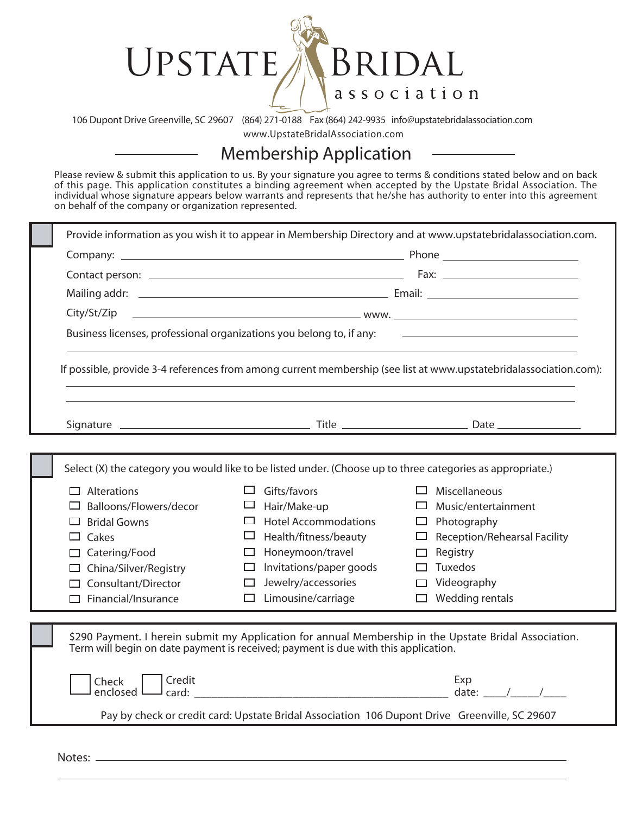## UPSTATE A BRIDAL association

106 Dupont Drive Greenville, SC 29607 (864) 271-0188 Fax (864) 242-9935 info@upstatebridalassociation.com

www.UpstateBridalAssociation.com

## **Membership Application**

Please review & submit this application to us. By your signature you agree to terms & conditions stated below and on back of this page. This application constitutes a binding agreement when accepted by the Upstate Bridal Association. The individual whose signature appears below warrants and represents that he/she has authority to enter into this agreement on behalf of the company or organization represented.

|                                                                                                                                                                                                                          |                                                                                                                                                                                                                                  | Provide information as you wish it to appear in Membership Directory and at www.upstatebridalassociation.com.                                                                                                     |
|--------------------------------------------------------------------------------------------------------------------------------------------------------------------------------------------------------------------------|----------------------------------------------------------------------------------------------------------------------------------------------------------------------------------------------------------------------------------|-------------------------------------------------------------------------------------------------------------------------------------------------------------------------------------------------------------------|
|                                                                                                                                                                                                                          |                                                                                                                                                                                                                                  |                                                                                                                                                                                                                   |
|                                                                                                                                                                                                                          |                                                                                                                                                                                                                                  |                                                                                                                                                                                                                   |
|                                                                                                                                                                                                                          |                                                                                                                                                                                                                                  |                                                                                                                                                                                                                   |
|                                                                                                                                                                                                                          |                                                                                                                                                                                                                                  |                                                                                                                                                                                                                   |
| Business licenses, professional organizations you belong to, if any:<br><u> 1980 - Jan Barbara Barat, martin da basar da basar da basar da basar da basar da basar da basar da basar da b</u>                            |                                                                                                                                                                                                                                  |                                                                                                                                                                                                                   |
| If possible, provide 3-4 references from among current membership (see list at www.upstatebridalassociation.com):                                                                                                        |                                                                                                                                                                                                                                  |                                                                                                                                                                                                                   |
|                                                                                                                                                                                                                          |                                                                                                                                                                                                                                  |                                                                                                                                                                                                                   |
|                                                                                                                                                                                                                          |                                                                                                                                                                                                                                  |                                                                                                                                                                                                                   |
| Select (X) the category you would like to be listed under. (Choose up to three categories as appropriate.)                                                                                                               |                                                                                                                                                                                                                                  |                                                                                                                                                                                                                   |
| $\Box$ Alterations<br>$\Box$ Balloons/Flowers/decor<br>$\Box$ Bridal Gowns<br>$\Box$ Cakes<br>$\Box$ Catering/Food<br>$\Box$ China/Silver/Registry<br>$\Box$ Consultant/Director<br>$\Box$ Financial/Insurance           | $\Box$ Gifts/favors<br>Hair/Make-up<br>ப<br>$\Box$ Hotel Accommodations<br>$\Box$ Health/fitness/beauty<br>Honeymoon/travel<br>$\Box$<br>$\Box$ Invitations/paper goods<br>Jewelry/accessories<br>□<br>$\Box$ Limousine/carriage | $\Box$ Miscellaneous<br>Music/entertainment<br>$\mathcal{L}$<br>$\Box$ Photography<br>$\Box$ Reception/Rehearsal Facility<br>Registry<br>$\Box$<br>$\Box$ Tuxedos<br>$\Box$ Videography<br>$\Box$ Wedding rentals |
| \$290 Payment. I herein submit my Application for annual Membership in the Upstate Bridal Association.<br>Term will begin on date payment is received; payment is due with this application.<br>  Credit<br>Exp<br>Check |                                                                                                                                                                                                                                  |                                                                                                                                                                                                                   |
| Pay by check or credit card: Upstate Bridal Association 106 Dupont Drive Greenville, SC 29607                                                                                                                            |                                                                                                                                                                                                                                  |                                                                                                                                                                                                                   |

Notes:  $\_\_$